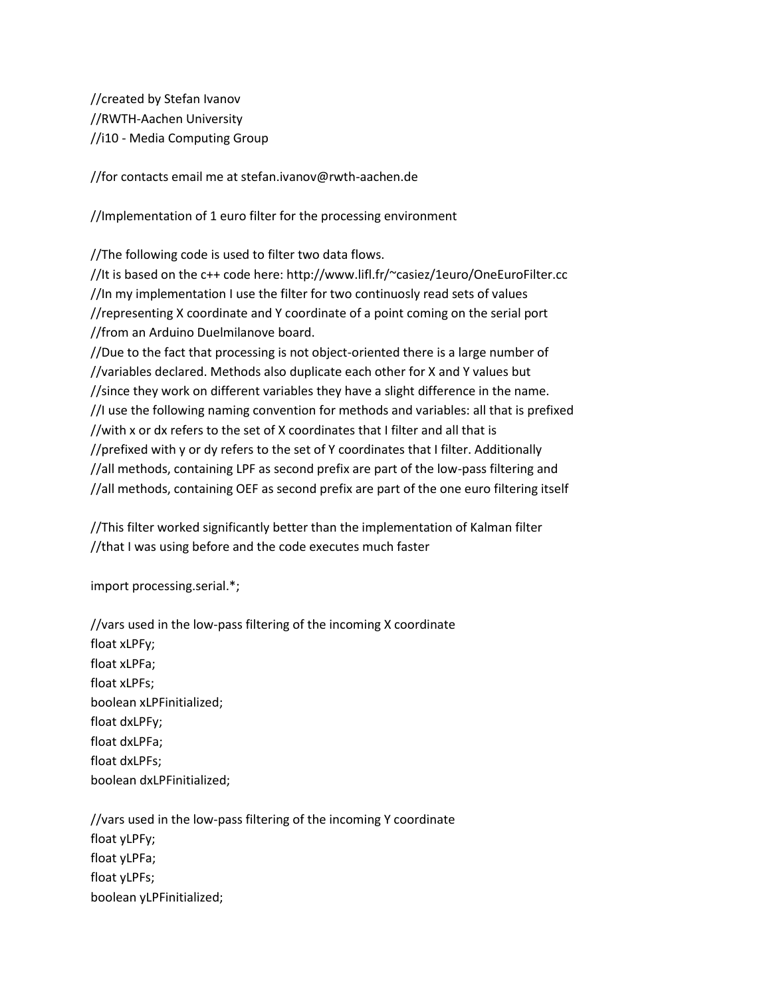//created by Stefan Ivanov //RWTH-Aachen University //i10 - Media Computing Group

//for contacts email me at stefan.ivanov@rwth-aachen.de

//Implementation of 1 euro filter for the processing environment

//The following code is used to filter two data flows.

//It is based on the c++ code here: http://www.lifl.fr/~casiez/1euro/OneEuroFilter.cc //In my implementation I use the filter for two continuosly read sets of values //representing X coordinate and Y coordinate of a point coming on the serial port //from an Arduino Duelmilanove board.

//Due to the fact that processing is not object-oriented there is a large number of //variables declared. Methods also duplicate each other for X and Y values but //since they work on different variables they have a slight difference in the name. //I use the following naming convention for methods and variables: all that is prefixed //with x or dx refers to the set of X coordinates that I filter and all that is //prefixed with y or dy refers to the set of Y coordinates that I filter. Additionally //all methods, containing LPF as second prefix are part of the low-pass filtering and //all methods, containing OEF as second prefix are part of the one euro filtering itself

//This filter worked significantly better than the implementation of Kalman filter //that I was using before and the code executes much faster

import processing.serial.\*;

//vars used in the low-pass filtering of the incoming X coordinate float xLPFy; float xLPFa; float xLPFs; boolean xLPFinitialized; float dxLPFy; float dxLPFa; float dxLPFs; boolean dxLPFinitialized;

//vars used in the low-pass filtering of the incoming Y coordinate float yLPFy; float yLPFa; float yLPFs; boolean yLPFinitialized;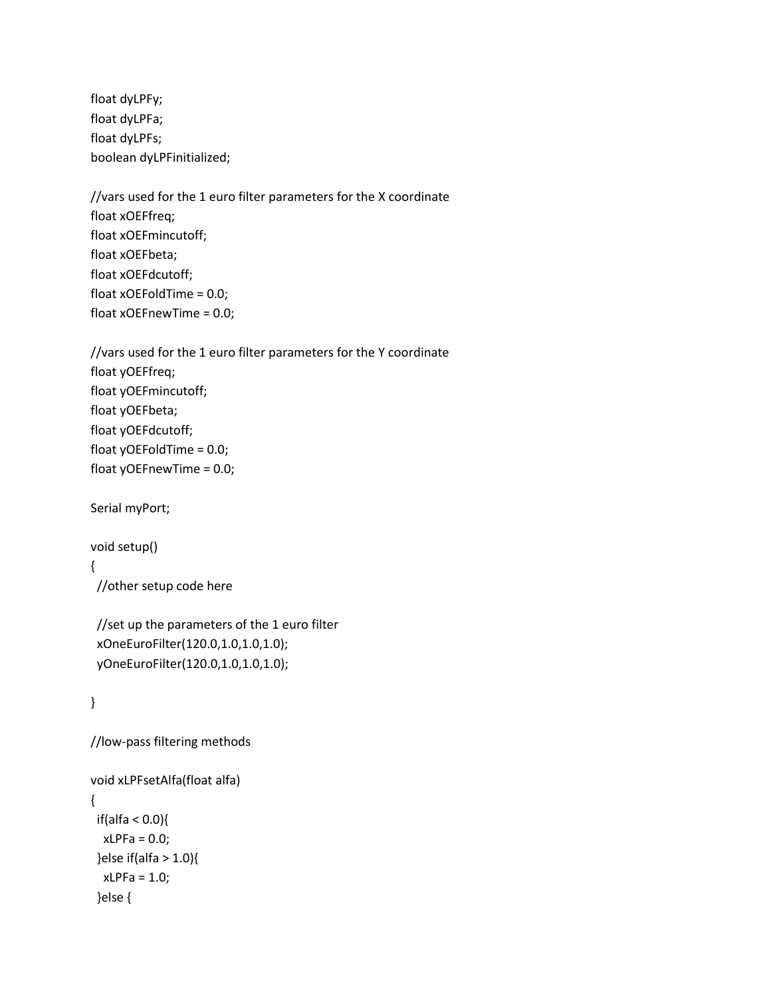float dyLPFy; float dyLPFa; float dyLPFs; boolean dyLPFinitialized;

//vars used for the 1 euro filter parameters for the X coordinate float xOEFfreq; float xOEFmincutoff; float xOEFbeta; float xOEFdcutoff; float xOEFoldTime = 0.0; float xOEFnewTime = 0.0;

//vars used for the 1 euro filter parameters for the Y coordinate float yOEFfreq; float yOEFmincutoff; float yOEFbeta; float yOEFdcutoff; float yOEFoldTime = 0.0; float yOEFnewTime = 0.0;

Serial myPort;

void setup()

{

//other setup code here

 //set up the parameters of the 1 euro filter xOneEuroFilter(120.0,1.0,1.0,1.0); yOneEuroFilter(120.0,1.0,1.0,1.0);

}

//low-pass filtering methods

```
void xLPFsetAlfa(float alfa)
{
  if(alfa < 0.0){
  xLPFa = 0.0; }else if(alfa > 1.0){
  xLPFa = 1.0; }else {
```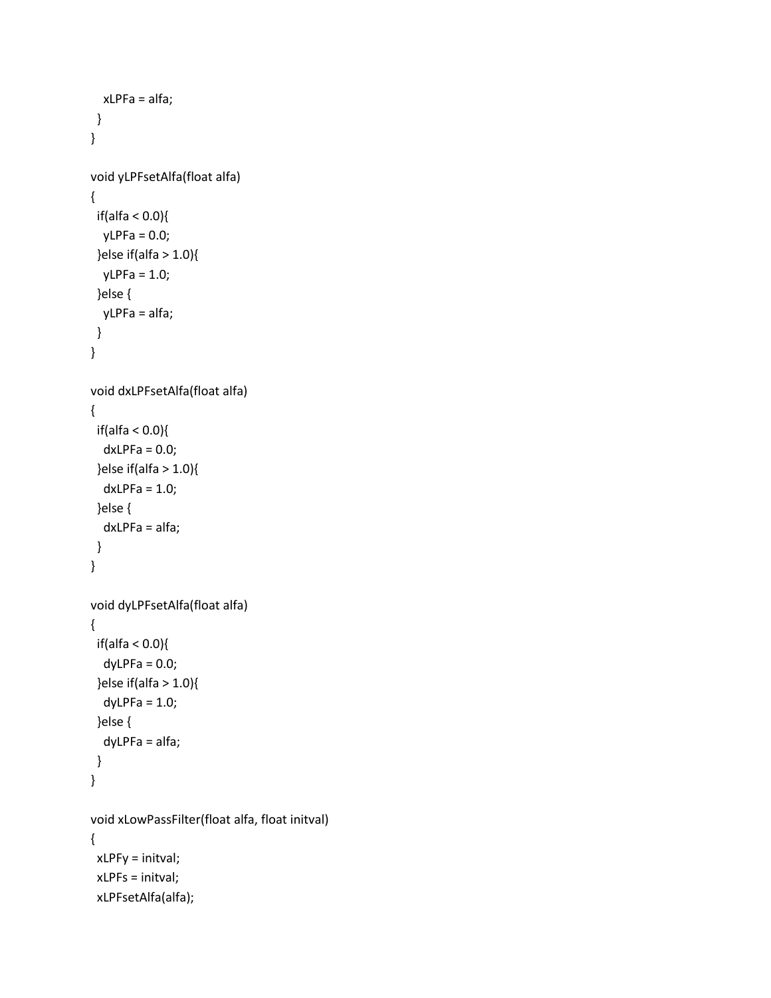```
 xLPFa = alfa;
  }
}
void yLPFsetAlfa(float alfa)
{
 if(alfa < 0.0){
  yLPFa = 0.0;}else if(alfa > 1.0){
  yLPFa = 1.0; }else {
   yLPFa = alfa;
  }
}
void dxLPFsetAlfa(float alfa)
{
  if(alfa < 0.0){
  dxLPFa = 0.0; }else if(alfa > 1.0){
   dxLPFa = 1.0;
  }else {
   dxLPFa = alfa;
  }
}
void dyLPFsetAlfa(float alfa)
{
  if(alfa < 0.0){
  dyLPFa = 0.0;}else if(alfa > 1.0){
  dyLPFa = 1.0; }else {
   dyLPFa = alfa;
  }
}
void xLowPassFilter(float alfa, float initval)
{
  xLPFy = initval;
  xLPFs = initval;
  xLPFsetAlfa(alfa);
```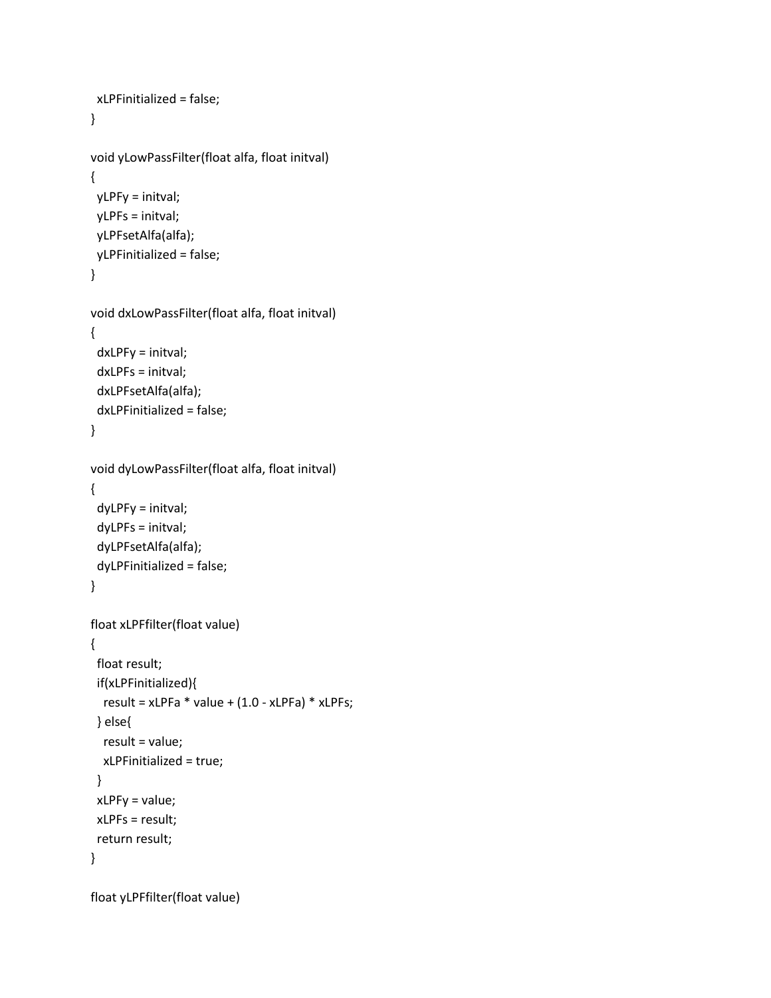```
 xLPFinitialized = false;
}
void yLowPassFilter(float alfa, float initval)
{
  yLPFy = initval;
  yLPFs = initval;
  yLPFsetAlfa(alfa);
  yLPFinitialized = false;
}
void dxLowPassFilter(float alfa, float initval)
{
  dxLPFy = initval;
  dxLPFs = initval;
  dxLPFsetAlfa(alfa);
  dxLPFinitialized = false;
}
void dyLowPassFilter(float alfa, float initval)
{
  dyLPFy = initval;
  dyLPFs = initval;
  dyLPFsetAlfa(alfa);
  dyLPFinitialized = false;
}
float xLPFfilter(float value)
{
  float result;
  if(xLPFinitialized){
  result = xLPFa * value + (1.0 - xLPFa) * xLPFs; } else{
   result = value;
   xLPFinitialized = true;
  }
  xLPFy = value;
 xLPFs = result;
  return result;
}
```
float yLPFfilter(float value)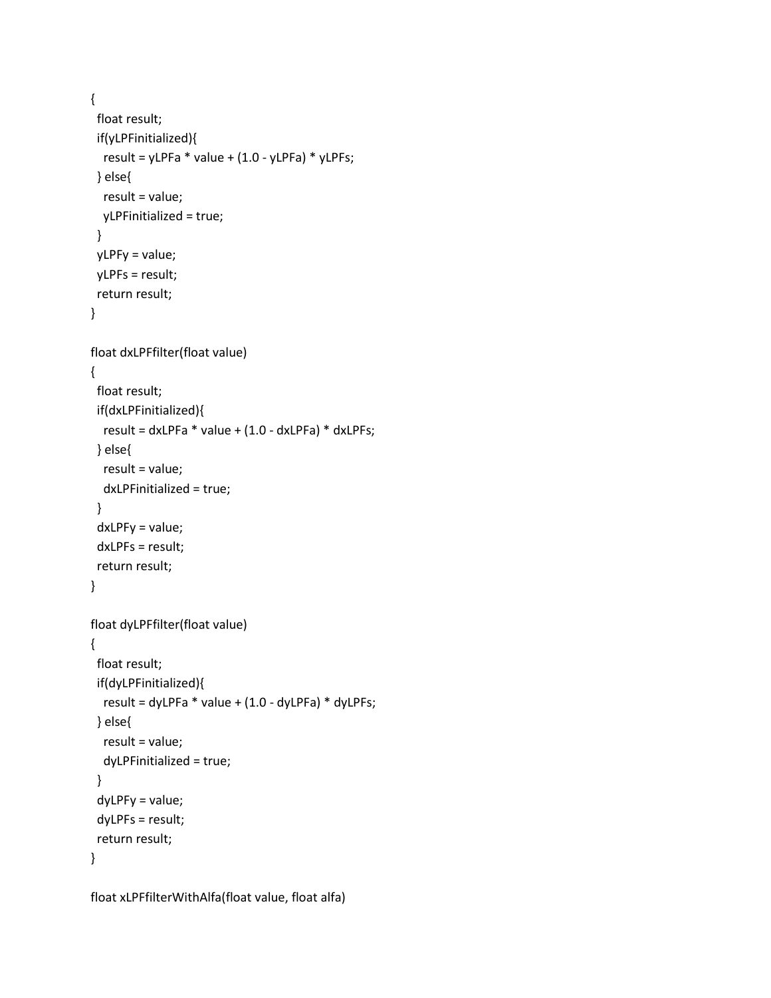```
{
  float result;
  if(yLPFinitialized){
  result = yLPFa * value + (1.0 - yLPFa) * yLPFs; } else{
   result = value;
   yLPFinitialized = true;
  }
  yLPFy = value;
  yLPFs = result;
  return result;
}
float dxLPFfilter(float value)
{
  float result;
  if(dxLPFinitialized){
  result = dxLPFa * value + (1.0 - dxLPFa) * dxLPFs; } else{
   result = value;
   dxLPFinitialized = true;
  }
  dxLPFy = value;
  dxLPFs = result;
  return result;
}
float dyLPFfilter(float value)
{
  float result;
  if(dyLPFinitialized){
   result = dyLPFa * value + (1.0 - dyLPFa) * dyLPFs;
  } else{
   result = value;
   dyLPFinitialized = true;
  }
  dyLPFy = value;
  dyLPFs = result;
  return result;
}
```
float xLPFfilterWithAlfa(float value, float alfa)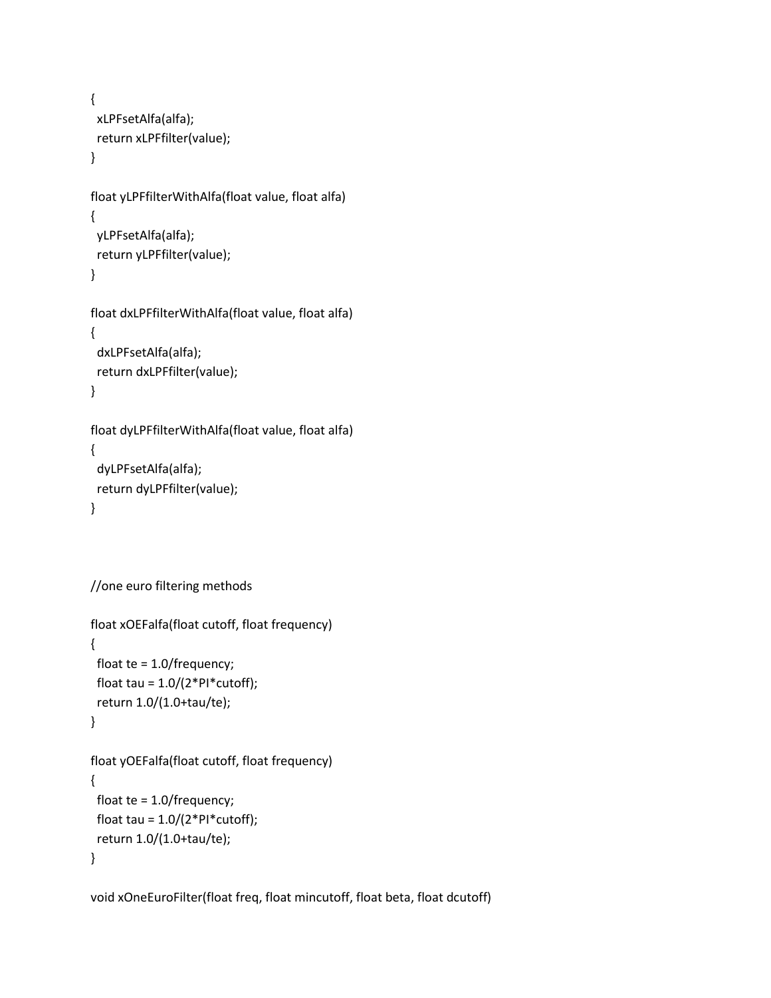```
{
  xLPFsetAlfa(alfa);
  return xLPFfilter(value);
}
float yLPFfilterWithAlfa(float value, float alfa)
{
  yLPFsetAlfa(alfa);
  return yLPFfilter(value);
}
float dxLPFfilterWithAlfa(float value, float alfa)
{
  dxLPFsetAlfa(alfa);
  return dxLPFfilter(value);
}
float dyLPFfilterWithAlfa(float value, float alfa)
{
  dyLPFsetAlfa(alfa);
  return dyLPFfilter(value);
```

```
}
```

```
//one euro filtering methods
```

```
float xOEFalfa(float cutoff, float frequency)
{
  float te = 1.0/frequency;
 float tau = 1.0/(2*PI*cutoff);
  return 1.0/(1.0+tau/te);
}
float yOEFalfa(float cutoff, float frequency)
{
  float te = 1.0/frequency;
```

```
float tau = 1.0/(2*PI*cutoff);
  return 1.0/(1.0+tau/te);
}
```
void xOneEuroFilter(float freq, float mincutoff, float beta, float dcutoff)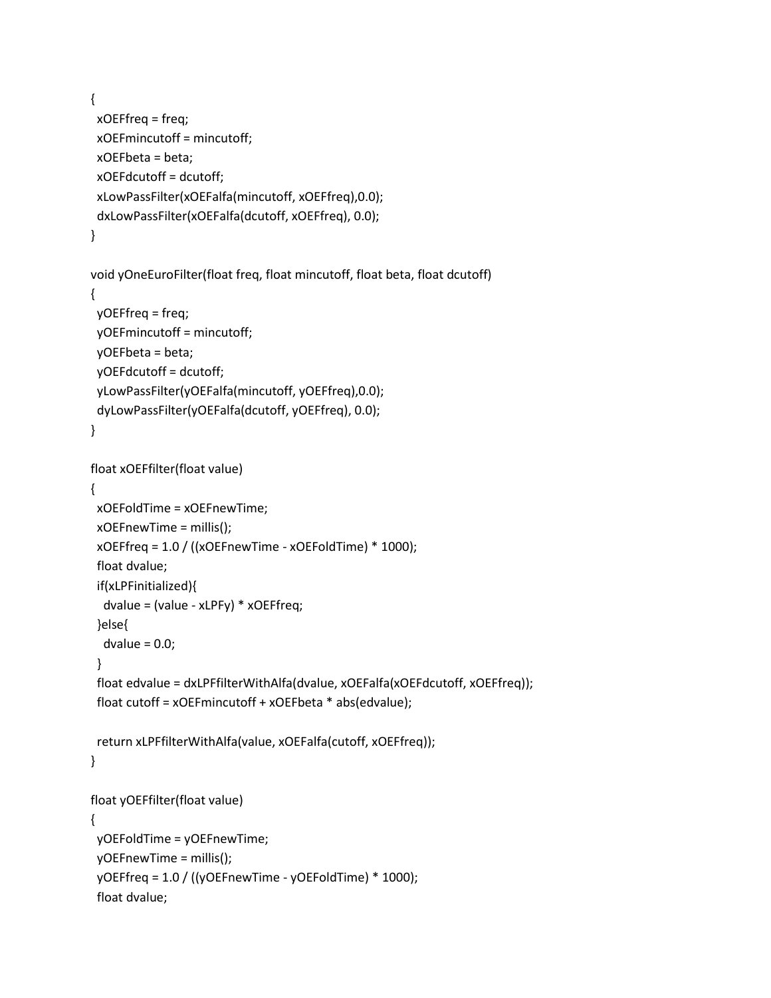```
{
  xOEFfreq = freq;
  xOEFmincutoff = mincutoff;
  xOEFbeta = beta;
  xOEFdcutoff = dcutoff;
  xLowPassFilter(xOEFalfa(mincutoff, xOEFfreq),0.0);
  dxLowPassFilter(xOEFalfa(dcutoff, xOEFfreq), 0.0);
}
```

```
void yOneEuroFilter(float freq, float mincutoff, float beta, float dcutoff)
{
 yOEFfreq = freq;
 yOEFmincutoff = mincutoff;
 yOEFbeta = beta;
 yOEFdcutoff = dcutoff;
 yLowPassFilter(yOEFalfa(mincutoff, yOEFfreq),0.0);
 dyLowPassFilter(yOEFalfa(dcutoff, yOEFfreq), 0.0);
```

```
}
```

```
float xOEFfilter(float value)
{
  xOEFoldTime = xOEFnewTime;
  xOEFnewTime = millis();
  xOEFfreq = 1.0 / ((xOEFnewTime - xOEFoldTime) * 1000);
  float dvalue;
  if(xLPFinitialized){
   dvalue = (value - xLPFy) * xOEFfreq;
  }else{
  dvalue = 0.0;
  }
  float edvalue = dxLPFfilterWithAlfa(dvalue, xOEFalfa(xOEFdcutoff, xOEFfreq));
  float cutoff = xOEFmincutoff + xOEFbeta * abs(edvalue);
  return xLPFfilterWithAlfa(value, xOEFalfa(cutoff, xOEFfreq));
}
float yOEFfilter(float value)
{
  yOEFoldTime = yOEFnewTime;
  yOEFnewTime = millis();
  yOEFfreq = 1.0 / ((yOEFnewTime - yOEFoldTime) * 1000);
  float dvalue;
```